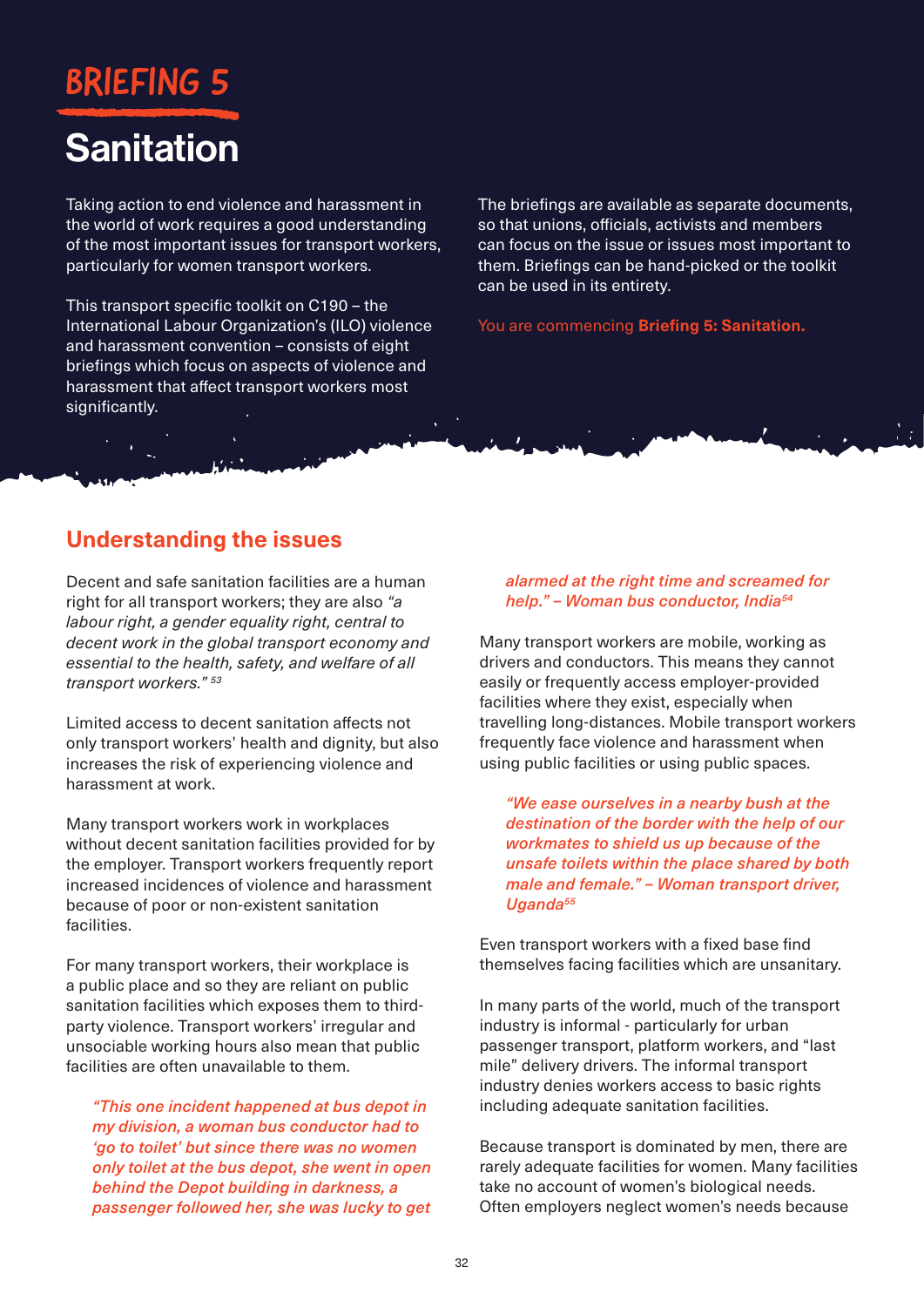# **BRIEFING**

# **Sanitation**

Taking action to end violence and harassment in the world of work requires a good understanding of the most important issues for transport workers, particularly for women transport workers.

This transport specific toolkit on C190 – the International Labour Organization's (ILO) violence and harassment convention – consists of eight briefings which focus on aspects of violence and harassment that affect transport workers most significantly.

The briefings are available as separate documents, so that unions, officials, activists and members can focus on the issue or issues most important to them. Briefings can be hand-picked or the toolkit can be used in its entirety.

You are commencing **Briefing 5: Sanitation.**

## **Understanding the issues**

Decent and safe sanitation facilities are a human right for all transport workers; they are also *"a labour right, a gender equality right, central to decent work in the global transport economy and essential to the health, safety, and welfare of all transport workers." 53*

Limited access to decent sanitation affects not only transport workers' health and dignity, but also increases the risk of experiencing violence and harassment at work.

Many transport workers work in workplaces without decent sanitation facilities provided for by the employer. Transport workers frequently report increased incidences of violence and harassment because of poor or non-existent sanitation facilities.

For many transport workers, their workplace is a public place and so they are reliant on public sanitation facilities which exposes them to thirdparty violence. Transport workers' irregular and unsociable working hours also mean that public facilities are often unavailable to them.

*"This one incident happened at bus depot in my division, a woman bus conductor had to 'go to toilet' but since there was no women only toilet at the bus depot, she went in open behind the Depot building in darkness, a passenger followed her, she was lucky to get* 

### *alarmed at the right time and screamed for help." – Woman bus conductor, India54*

Many transport workers are mobile, working as drivers and conductors. This means they cannot easily or frequently access employer-provided facilities where they exist, especially when travelling long-distances. Mobile transport workers frequently face violence and harassment when using public facilities or using public spaces.

*"We ease ourselves in a nearby bush at the destination of the border with the help of our workmates to shield us up because of the unsafe toilets within the place shared by both male and female." – Woman transport driver, Uganda55*

Even transport workers with a fixed base find themselves facing facilities which are unsanitary.

In many parts of the world, much of the transport industry is informal - particularly for urban passenger transport, platform workers, and "last mile" delivery drivers. The informal transport industry denies workers access to basic rights including adequate sanitation facilities.

Because transport is dominated by men, there are rarely adequate facilities for women. Many facilities take no account of women's biological needs. Often employers neglect women's needs because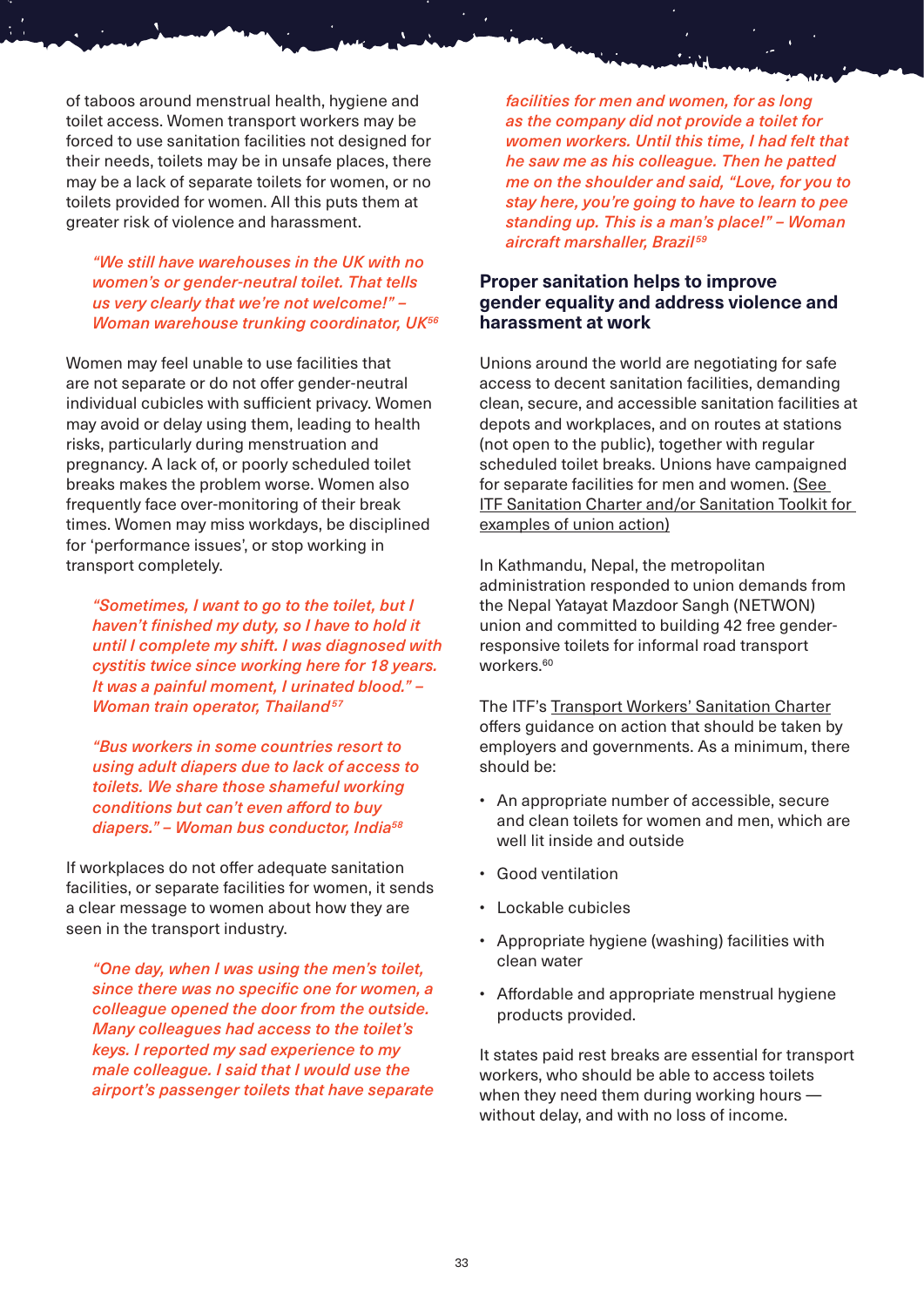of taboos around menstrual health, hygiene and toilet access. Women transport workers may be forced to use sanitation facilities not designed for their needs, toilets may be in unsafe places, there may be a lack of separate toilets for women, or no toilets provided for women. All this puts them at greater risk of violence and harassment.

*"We still have warehouses in the UK with no women's or gender-neutral toilet. That tells us very clearly that we're not welcome!" – Woman warehouse trunking coordinator, UK56*

Women may feel unable to use facilities that are not separate or do not offer gender-neutral individual cubicles with sufficient privacy. Women may avoid or delay using them, leading to health risks, particularly during menstruation and pregnancy. A lack of, or poorly scheduled toilet breaks makes the problem worse. Women also frequently face over-monitoring of their break times. Women may miss workdays, be disciplined for 'performance issues', or stop working in transport completely.

*"Sometimes, I want to go to the toilet, but I haven't finished my duty, so I have to hold it until I complete my shift. I was diagnosed with cystitis twice since working here for 18 years. It was a painful moment, I urinated blood." – Woman train operator, Thailand<sup>57</sup>* 

*"Bus workers in some countries resort to using adult diapers due to lack of access to toilets. We share those shameful working conditions but can't even afford to buy diapers." – Woman bus conductor, India58*

If workplaces do not offer adequate sanitation facilities, or separate facilities for women, it sends a clear message to women about how they are seen in the transport industry.

*"One day, when I was using the men's toilet, since there was no specific one for women, a colleague opened the door from the outside. Many colleagues had access to the toilet's keys. I reported my sad experience to my male colleague. I said that I would use the airport's passenger toilets that have separate*  *facilities for men and women, for as long as the company did not provide a toilet for women workers. Until this time, I had felt that he saw me as his colleague. Then he patted me on the shoulder and said, "Love, for you to stay here, you're going to have to learn to pee standing up. This is a man's place!" – Woman aircraft marshaller, Brazil <sup>59</sup>*

#### **Proper sanitation helps to improve gender equality and address violence and harassment at work**

Unions around the world are negotiating for safe access to decent sanitation facilities, demanding clean, secure, and accessible sanitation facilities at depots and workplaces, and on routes at stations (not open to the public), together with regular scheduled toilet breaks. Unions have campaigned for separate facilities for men and women. [\(See](https://sanitation.itfglobal.org/)  [ITF Sanitation Charter and/or Sanitation Toolkit for](https://sanitation.itfglobal.org/)  [examples of union action\)](https://sanitation.itfglobal.org/)

In Kathmandu, Nepal, the metropolitan administration responded to union demands from the Nepal Yatayat Mazdoor Sangh (NETWON) union and committed to building 42 free genderresponsive toilets for informal road transport workers.<sup>60</sup>

The ITF's [Transport Workers' Sanitation Charter](https://www.itfglobal.org/en/reports-publications/itf-sanitation-charter) offers guidance on action that should be taken by employers and governments. As a minimum, there should be:

- An appropriate number of accessible, secure and clean toilets for women and men, which are well lit inside and outside
- Good ventilation
- Lockable cubicles
- Appropriate hygiene (washing) facilities with clean water
- Affordable and appropriate menstrual hygiene products provided.

It states paid rest breaks are essential for transport workers, who should be able to access toilets when they need them during working hours without delay, and with no loss of income.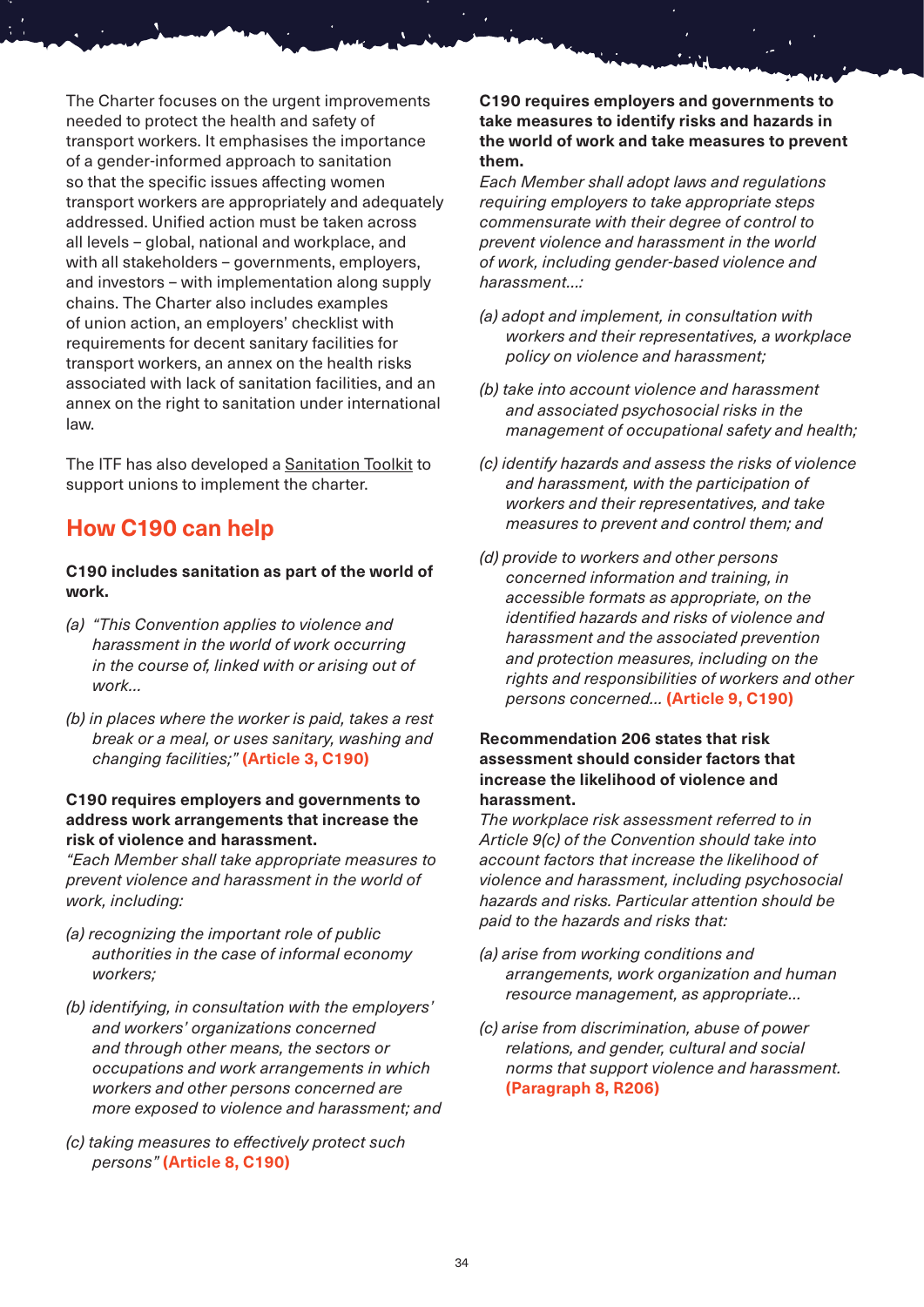The Charter focuses on the urgent improvements needed to protect the health and safety of transport workers. It emphasises the importance of a gender-informed approach to sanitation so that the specific issues affecting women transport workers are appropriately and adequately addressed. Unified action must be taken across all levels – global, national and workplace, and with all stakeholders – governments, employers, and investors – with implementation along supply chains. The Charter also includes examples of union action, an employers' checklist with requirements for decent sanitary facilities for transport workers, an annex on the health risks associated with lack of sanitation facilities, and an annex on the right to sanitation under international law.

The ITF has also developed a [Sanitation Toolkit](https://sanitation.itfglobal.org/) to support unions to implement the charter.

## **How C190 can help**

### **C190 includes sanitation as part of the world of work.**

- *(a) "This Convention applies to violence and harassment in the world of work occurring in the course of, linked with or arising out of work…*
- *(b) in places where the worker is paid, takes a rest break or a meal, or uses sanitary, washing and changing facilities;"* **(Article 3, C190)**

#### **C190 requires employers and governments to address work arrangements that increase the risk of violence and harassment.**

*"Each Member shall take appropriate measures to prevent violence and harassment in the world of work, including:*

- *(a) recognizing the important role of public authorities in the case of informal economy workers;*
- *(b) identifying, in consultation with the employers' and workers' organizations concerned and through other means, the sectors or occupations and work arrangements in which workers and other persons concerned are more exposed to violence and harassment; and*
- *(c) taking measures to effectively protect such persons"* **(Article 8, C190)**

**C190 requires employers and governments to take measures to identify risks and hazards in the world of work and take measures to prevent them.**

*Each Member shall adopt laws and regulations requiring employers to take appropriate steps commensurate with their degree of control to prevent violence and harassment in the world of work, including gender-based violence and harassment…:*

- *(a) adopt and implement, in consultation with workers and their representatives, a workplace policy on violence and harassment;*
- *(b) take into account violence and harassment and associated psychosocial risks in the management of occupational safety and health;*
- *(c) identify hazards and assess the risks of violence and harassment, with the participation of workers and their representatives, and take measures to prevent and control them; and*
- *(d) provide to workers and other persons concerned information and training, in accessible formats as appropriate, on the identified hazards and risks of violence and harassment and the associated prevention and protection measures, including on the rights and responsibilities of workers and other persons concerned…* **(Article 9, C190)**

### **Recommendation 206 states that risk assessment should consider factors that increase the likelihood of violence and harassment.**

*The workplace risk assessment referred to in Article 9(c) of the Convention should take into account factors that increase the likelihood of violence and harassment, including psychosocial hazards and risks. Particular attention should be paid to the hazards and risks that:*

- *(a) arise from working conditions and arrangements, work organization and human resource management, as appropriate…*
- *(c) arise from discrimination, abuse of power relations, and gender, cultural and social norms that support violence and harassment.*  **(Paragraph 8, R206)**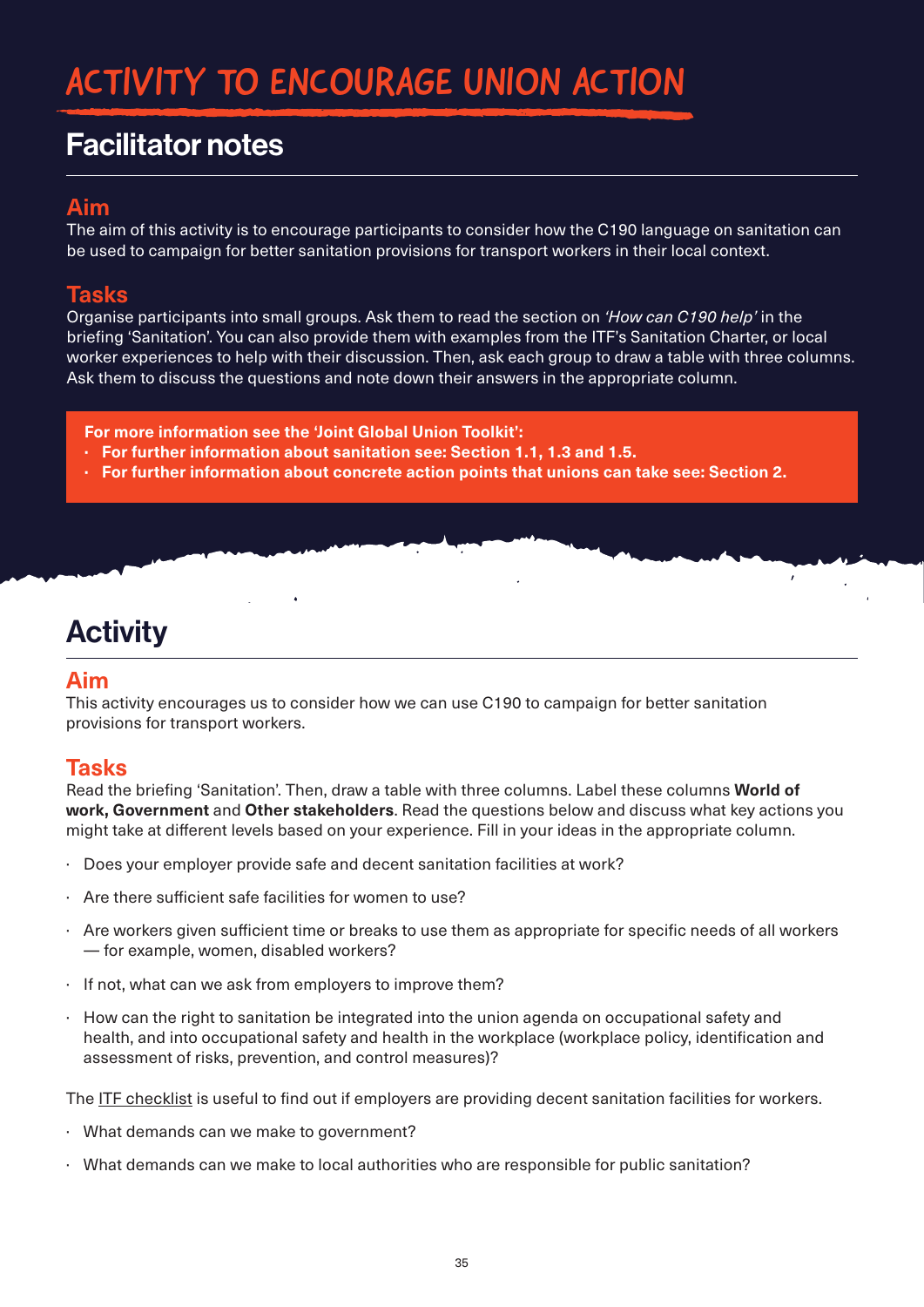# ACTIVITY TO ENCOURAGE UNION ACTION

# Facilitator notes

## **Aim**

The aim of this activity is to encourage participants to consider how the C190 language on sanitation can be used to campaign for better sanitation provisions for transport workers in their local context.

### **Tasks**

Organise participants into small groups. Ask them to read the section on *'How can C190 help'* in the briefing 'Sanitation'. You can also provide them with examples from the ITF's Sanitation Charter, or local worker experiences to help with their discussion. Then, ask each group to draw a table with three columns. Ask them to discuss the questions and note down their answers in the appropriate column.

 $\mathbf{r}$ 

- **For more information see the 'Joint Global Union Toolkit':**
- **· For further information about sanitation see: Section 1.1, 1.3 and 1.5.**
- **· For further information about concrete action points that unions can take see: Section 2.**

# **Activity**

### **Aim**

This activity encourages us to consider how we can use C190 to campaign for better sanitation provisions for transport workers.

### **Tasks**

Read the briefing 'Sanitation'. Then, draw a table with three columns. Label these columns **World of work, Government** and **Other stakeholders**. Read the questions below and discuss what key actions you might take at different levels based on your experience. Fill in your ideas in the appropriate column.

- · Does your employer provide safe and decent sanitation facilities at work?
- Are there sufficient safe facilities for women to use?
- · Are workers given sufficient time or breaks to use them as appropriate for specific needs of all workers — for example, women, disabled workers?
- · If not, what can we ask from employers to improve them?
- · How can the right to sanitation be integrated into the union agenda on occupational safety and health, and into occupational safety and health in the workplace (workplace policy, identification and assessment of risks, prevention, and control measures)?

The [ITF checklist](https://www.itfglobal.org/sites/default/files/node/resources/files/ITF_SanitationCharter_EN.pdf) is useful to find out if employers are providing decent sanitation facilities for workers.

- · What demands can we make to government?
- · What demands can we make to local authorities who are responsible for public sanitation?